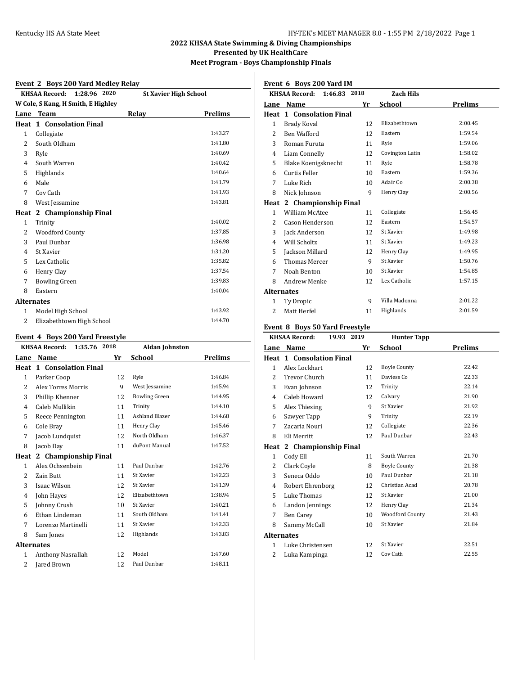## **2022 KHSAA State Swimming & Diving Championships**

**Presented by UK HealthCare**

**Meet Program - Boys Championship Finals**

### **Event 2 Boys 200 Yard Medley Relay**

|                   | EVEILL 2 DOYS 200 TALU MEUTEV RETAY  |                              |                |
|-------------------|--------------------------------------|------------------------------|----------------|
|                   | <b>KHSAA Record:</b><br>1:28.96 2020 | <b>St Xavier High School</b> |                |
|                   | W Cole, S Kang, H Smith, E Highley   |                              |                |
|                   | Lane Team                            | Relay                        | <b>Prelims</b> |
| Heat              | 1 Consolation Final                  |                              |                |
| $\mathbf{1}$      | Collegiate                           |                              | 1:43.27        |
| 2                 | South Oldham                         |                              | 1:41.80        |
| 3                 | Ryle                                 |                              | 1:40.69        |
| 4                 | South Warren                         |                              | 1:40.42        |
| 5                 | Highlands                            |                              | 1:40.64        |
| 6                 | Male                                 |                              | 1:41.79        |
| 7                 | Cov Cath                             |                              | 1:41.93        |
| 8                 | West Jessamine                       |                              | 1:43.81        |
| Heat              | 2 Championship Final                 |                              |                |
| 1                 | Trinity                              |                              | 1:40.02        |
| 2                 | <b>Woodford County</b>               |                              | 1:37.85        |
| 3                 | Paul Dunbar                          |                              | 1:36.98        |
| 4                 | St Xavier                            |                              | 1:31.20        |
| 5                 | Lex Catholic                         |                              | 1:35.82        |
| 6                 | Henry Clay                           |                              | 1:37.54        |
| 7                 | <b>Bowling Green</b>                 |                              | 1:39.83        |
| 8                 | Eastern                              |                              | 1:40.04        |
| <b>Alternates</b> |                                      |                              |                |
| 1                 | Model High School                    |                              | 1:43.92        |
| 2                 | Elizabethtown High School            |                              | 1:44.70        |

### **Event 4 Boys 200 Yard Freestyle**

|                   | <b>KHSAA Record:</b><br>1:35.76 | 2018 | <b>Aldan Johnston</b> |         |
|-------------------|---------------------------------|------|-----------------------|---------|
| Lane              | Name                            | Yr   | School                | Prelims |
|                   | <b>Heat 1 Consolation Final</b> |      |                       |         |
| 1                 | Parker Coop                     | 12   | Ryle                  | 1:46.84 |
| 2                 | <b>Alex Torres Morris</b>       | 9    | West Jessamine        | 1:45.94 |
| 3                 | Phillip Khenner                 | 12   | <b>Bowling Green</b>  | 1:44.95 |
| 4                 | Caleb Mullikin                  | 11   | Trinity               | 1:44.10 |
| 5                 | Reece Pennington                | 11   | Ashland Blazer        | 1:44.68 |
| 6                 | Cole Bray                       | 11   | Henry Clay            | 1:45.46 |
| 7                 | Jacob Lundquist                 | 12   | North Oldham          | 1:46.37 |
| 8                 | Jacob Day                       | 11   | duPont Manual         | 1:47.52 |
| Heat              | 2 Championship Final            |      |                       |         |
| 1                 | Alex Ochsenbein                 | 11   | Paul Dunbar           | 1:42.76 |
| 2                 | Zain Butt                       | 11   | St Xavier             | 1:42.23 |
| 3                 | Isaac Wilson                    | 12   | St Xavier             | 1:41.39 |
| 4                 | John Hayes                      | 12   | Elizabethtown         | 1:38.94 |
| 5                 | Johnny Crush                    | 10   | St Xavier             | 1:40.21 |
| 6                 | Ethan Lindeman                  | 11   | South Oldham          | 1:41.41 |
| 7                 | Lorenzo Martinelli              | 11   | St Xavier             | 1:42.33 |
| 8                 | Sam Jones                       | 12   | Highlands             | 1:43.83 |
| <b>Alternates</b> |                                 |      |                       |         |
| 1                 | Anthony Nasrallah               | 12   | Model                 | 1:47.60 |
| 2                 | Jared Brown                     | 12   | Paul Dunbar           | 1:48.11 |
|                   |                                 |      |                       |         |

# **Event 6 Boys 200 Yard IM**

|                   | <b>KHSAA Record:</b><br>1:46.83 | 2018 | <b>Zach Hils</b> |                |
|-------------------|---------------------------------|------|------------------|----------------|
| Lane              | Name                            | Yr   | <b>School</b>    | <b>Prelims</b> |
| Heat              | 1 Consolation Final             |      |                  |                |
| $\mathbf{1}$      | Brady Koval                     | 12   | Elizabethtown    | 2:00.45        |
| 2                 | Ben Wafford                     | 12   | Eastern          | 1:59.54        |
| 3                 | Roman Furuta                    | 11   | Ryle             | 1:59.06        |
| 4                 | Liam Connelly                   | 12   | Covington Latin  | 1:58.02        |
| 5                 | Blake Koenigsknecht             | 11   | Ryle             | 1:58.78        |
| 6                 | Curtis Feller                   | 10   | Eastern          | 1:59.36        |
| 7                 | Luke Rich                       | 10   | Adair Co         | 2:00.38        |
| 8                 | Nick Johnson                    | 9    | Henry Clay       | 2:00.56        |
| Heat              | 2 Championship Final            |      |                  |                |
| 1                 | William McAtee                  | 11   | Collegiate       | 1:56.45        |
| 2                 | Cason Henderson                 | 12   | Eastern          | 1:54.57        |
| 3                 | Jack Anderson                   | 12   | St Xavier        | 1:49.98        |
| 4                 | Will Scholtz                    | 11   | St Xavier        | 1:49.23        |
| 5                 | Jackson Millard                 | 12   | Henry Clay       | 1:49.95        |
| 6                 | <b>Thomas Mercer</b>            | 9    | St Xavier        | 1:50.76        |
| 7                 | Noah Benton                     | 10   | St Xavier        | 1:54.85        |
| 8                 | <b>Andrew Menke</b>             | 12   | Lex Catholic     | 1:57.15        |
| <b>Alternates</b> |                                 |      |                  |                |
| $\mathbf{1}$      | Ty Dropic                       | 9    | Villa Madonna    | 2:01.22        |
| 2                 | Matt Herfel                     | 11   | Highlands        | 2:01.59        |

### **Event 8 Boys 50 Yard Freestyle**

|                   | <b>KHSAA Record:</b>            | 19.93 | 2019 | <b>Hunter Tapp</b>  |         |
|-------------------|---------------------------------|-------|------|---------------------|---------|
| Lane              | Name                            |       | Yr   | School              | Prelims |
|                   | <b>Heat 1 Consolation Final</b> |       |      |                     |         |
| 1                 | Alex Lockhart                   |       | 12   | <b>Boyle County</b> | 22.42   |
| 2                 | Trevor Church                   |       | 11   | Daviess Co          | 22.33   |
| 3                 | Evan Johnson                    |       | 12   | Trinity             | 22.14   |
| 4                 | Caleb Howard                    |       | 12   | Calvary             | 21.90   |
| 5                 | Alex Thiesing                   |       | 9    | St Xavier           | 21.92   |
| 6                 | Sawyer Tapp                     |       | 9    | Trinity             | 22.19   |
| 7                 | Zacaria Nouri                   |       | 12   | Collegiate          | 22.36   |
| 8                 | Eli Merritt                     |       | 12   | Paul Dunbar         | 22.43   |
| Heat              | 2 Championship Final            |       |      |                     |         |
| $\mathbf{1}$      | Cody Ell                        |       | 11   | South Warren        | 21.70   |
| 2                 | Clark Coyle                     |       | 8    | <b>Boyle County</b> | 21.38   |
| 3                 | Seneca Oddo                     |       | 10   | Paul Dunbar         | 21.18   |
| 4                 | Robert Ehrenborg                |       | 12   | Christian Acad      | 20.78   |
| 5                 | Luke Thomas                     |       | 12   | St Xavier           | 21.00   |
| 6                 | Landon Jennings                 |       | 12   | Henry Clay          | 21.34   |
| 7                 | Ben Carey                       |       | 10   | Woodford County     | 21.43   |
| 8                 | Sammy McCall                    |       | 10   | St Xavier           | 21.84   |
| <b>Alternates</b> |                                 |       |      |                     |         |
| $\mathbf{1}$      | Luke Christensen                |       | 12   | St Xavier           | 22.51   |
| $\overline{c}$    | Luka Kampinga                   |       | 12   | Cov Cath            | 22.55   |
|                   |                                 |       |      |                     |         |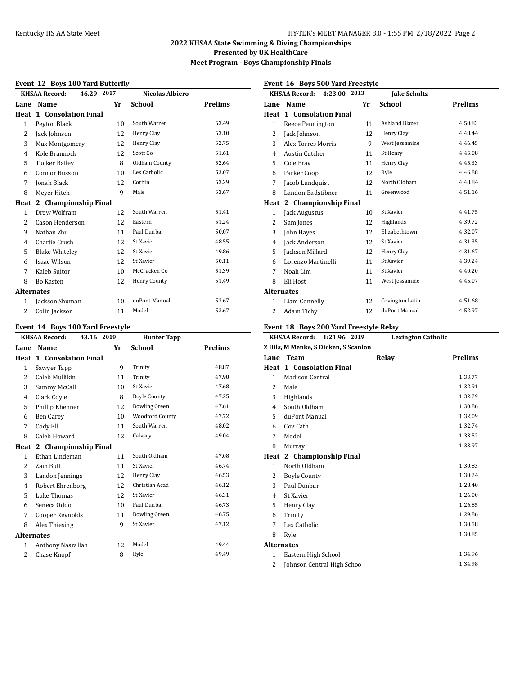### **2022 KHSAA State Swimming & Diving Championships**

**Presented by UK HealthCare**

**Meet Program - Boys Championship Finals**

#### **Event 12 Boys 100 Yard Butterfly**

|                   | EVEIR 12 DOYS TOO TATU DUCCETIY    |    |                        |         |
|-------------------|------------------------------------|----|------------------------|---------|
|                   | 46.29 2017<br><b>KHSAA Record:</b> |    | <b>Nicolas Albiero</b> |         |
| Lane              | Name                               | Yr | School                 | Prelims |
|                   | <b>Heat 1 Consolation Final</b>    |    |                        |         |
| $\mathbf{1}$      | Peyton Black                       | 10 | South Warren           | 53.49   |
| 2                 | Jack Johnson                       | 12 | Henry Clay             | 53.10   |
| 3                 | Max Montgomery                     | 12 | Henry Clay             | 52.75   |
| $\overline{4}$    | Kole Brannock                      | 12 | Scott Co               | 51.61   |
| 5                 | Tucker Bailey                      | 8  | Oldham County          | 52.64   |
| 6                 | Connor Busson                      | 10 | Lex Catholic           | 53.07   |
| 7                 | Jonah Black                        | 12 | Corbin                 | 53.29   |
| 8                 | Meyer Hitch                        | 9  | Male                   | 53.67   |
| Heat              | 2 Championship Final               |    |                        |         |
| $\mathbf{1}$      | Drew Wolfram                       | 12 | South Warren           | 51.41   |
| 2                 | Cason Henderson                    | 12 | Eastern                | 51.24   |
| 3                 | Nathan Zhu                         | 11 | Paul Dunbar            | 50.07   |
| $\overline{4}$    | Charlie Crush                      | 12 | St Xavier              | 48.55   |
| 5                 | <b>Blake Whiteley</b>              | 12 | St Xavier              | 49.86   |
| 6                 | Isaac Wilson                       | 12 | St Xavier              | 50.11   |
| 7                 | Kaleb Suitor                       | 10 | McCracken Co           | 51.39   |
| 8                 | Bo Kasten                          | 12 | Henry County           | 51.49   |
| <b>Alternates</b> |                                    |    |                        |         |
| 1                 | Jackson Shuman                     | 10 | duPont Manual          | 53.67   |
| 2                 | Colin Jackson                      | 11 | Model                  | 53.67   |

### **Event 14 Boys 100 Yard Freestyle**

|                   | <b>KHSAA Record:</b><br>43.16 | 2019            | <b>Hunter Tapp</b>     |         |
|-------------------|-------------------------------|-----------------|------------------------|---------|
| Lane              | Name                          | Yr              | School                 | Prelims |
| Heat              | 1 Consolation Final           |                 |                        |         |
| 1                 | Sawyer Tapp                   | 9               | Trinity                | 48.87   |
| 2                 | Caleb Mullikin                | 11              | Trinity                | 47.98   |
| 3                 | Sammy McCall                  | 10 <sup>1</sup> | St Xavier              | 47.68   |
| 4                 | Clark Coyle                   | 8               | <b>Boyle County</b>    | 47.25   |
| 5                 | Phillip Khenner               | 12              | <b>Bowling Green</b>   | 47.61   |
| 6                 | <b>Ben Carey</b>              | 10              | <b>Woodford County</b> | 47.72   |
| 7                 | Cody Ell                      | 11              | South Warren           | 48.02   |
| 8                 | Caleb Howard                  | 12              | Calvary                | 49.04   |
| Heat              | 2 Championship Final          |                 |                        |         |
| $\mathbf{1}$      | Ethan Lindeman                | 11              | South Oldham           | 47.08   |
| 2                 | Zain Butt                     | 11              | St Xavier              | 46.74   |
| 3                 | Landon Jennings               | 12              | Henry Clay             | 46.53   |
| 4                 | Robert Ehrenborg              | 12              | Christian Acad         | 46.12   |
| 5                 | Luke Thomas                   | 12              | St Xavier              | 46.31   |
| 6                 | Seneca Oddo                   | 10              | Paul Dunbar            | 46.73   |
| 7                 | Cooper Reynolds               | 11              | <b>Bowling Green</b>   | 46.75   |
| 8                 | Alex Thiesing                 | 9               | St Xavier              | 47.12   |
| <b>Alternates</b> |                               |                 |                        |         |
| $\mathbf{1}$      | Anthony Nasrallah             | 12              | Model                  | 49.44   |
| 2                 | Chase Knopf                   | 8               | Ryle                   | 49.49   |
|                   |                               |                 |                        |         |

### **Event 16 Boys 500 Yard Freestyle**

|                   | KHSAA Record: 4:23.00 2013      |    | <b>Jake Schultz</b>   |         |
|-------------------|---------------------------------|----|-----------------------|---------|
|                   | Lane Name                       | Yr | School                | Prelims |
|                   | <b>Heat 1 Consolation Final</b> |    |                       |         |
| 1                 | Reece Pennington                | 11 | <b>Ashland Blazer</b> | 4:50.83 |
| 2                 | Jack Johnson                    | 12 | Henry Clay            | 4:48.44 |
| 3                 | Alex Torres Morris              | 9  | West Jessamine        | 4:46.45 |
| 4                 | <b>Austin Cutcher</b>           | 11 | St Henry              | 4:45.08 |
| 5                 | Cole Bray                       | 11 | Henry Clay            | 4:45.33 |
| 6                 | Parker Coop                     | 12 | Ryle                  | 4:46.88 |
| 7                 | Jacob Lundquist                 | 12 | North Oldham          | 4:48.84 |
| 8                 | Landon Badstibner               | 11 | Greenwood             | 4:51.16 |
| Heat              | 2 Championship Final            |    |                       |         |
| 1                 | Jack Augustus                   | 10 | St Xavier             | 4:41.75 |
| 2                 | Sam Jones                       | 12 | Highlands             | 4:39.72 |
| 3                 | John Hayes                      | 12 | Elizabethtown         | 4:32.07 |
| 4                 | Jack Anderson                   | 12 | St Xavier             | 4:31.35 |
| 5                 | Jackson Millard                 | 12 | Henry Clay            | 4:31.67 |
| 6                 | Lorenzo Martinelli              | 11 | St Xavier             | 4:39.24 |
| 7                 | Noah Lim                        | 11 | St Xavier             | 4:40.20 |
| 8                 | Eli Host                        | 11 | West Jessamine        | 4:45.07 |
| <b>Alternates</b> |                                 |    |                       |         |
| 1                 | Liam Connelly                   | 12 | Covington Latin       | 4:51.68 |
| 2                 | Adam Tichy                      | 12 | duPont Manual         | 4:52.97 |

### **Event 18 Boys 200 Yard Freestyle Relay**

|                   | <b>KHSAA Record:</b><br>1:21.96 2019 | <b>Lexington Catholic</b> |                |
|-------------------|--------------------------------------|---------------------------|----------------|
|                   | Z Hils, M Menke, S Dicken, S Scanlon |                           |                |
|                   | Lane Team                            | Relay                     | <b>Prelims</b> |
|                   | <b>Heat 1 Consolation Final</b>      |                           |                |
| 1                 | Madison Central                      |                           | 1:33.77        |
| $\overline{2}$    | Male                                 |                           | 1:32.91        |
| 3                 | Highlands                            |                           | 1:32.29        |
| 4                 | South Oldham                         |                           | 1:30.86        |
| 5                 | duPont Manual                        |                           | 1:32.09        |
| 6                 | Cov Cath                             |                           | 1:32.74        |
| 7                 | Model                                |                           | 1:33.52        |
| 8                 | Murray                               |                           | 1:33.97        |
| Heat              | 2 Championship Final                 |                           |                |
| $\mathbf{1}$      | North Oldham                         |                           | 1:30.83        |
| 2                 | <b>Boyle County</b>                  |                           | 1:30.24        |
| 3                 | Paul Dunbar                          |                           | 1:28.40        |
| 4                 | St Xavier                            |                           | 1:26.00        |
| 5                 | Henry Clay                           |                           | 1:26.85        |
| 6                 | Trinity                              |                           | 1:29.86        |
| 7                 | Lex Catholic                         |                           | 1:30.58        |
| 8                 | Ryle                                 |                           | 1:30.85        |
| <b>Alternates</b> |                                      |                           |                |
| $\mathbf{1}$      | Eastern High School                  |                           | 1:34.96        |
| 2                 | Johnson Central High Schoo           |                           | 1:34.98        |
|                   |                                      |                           |                |